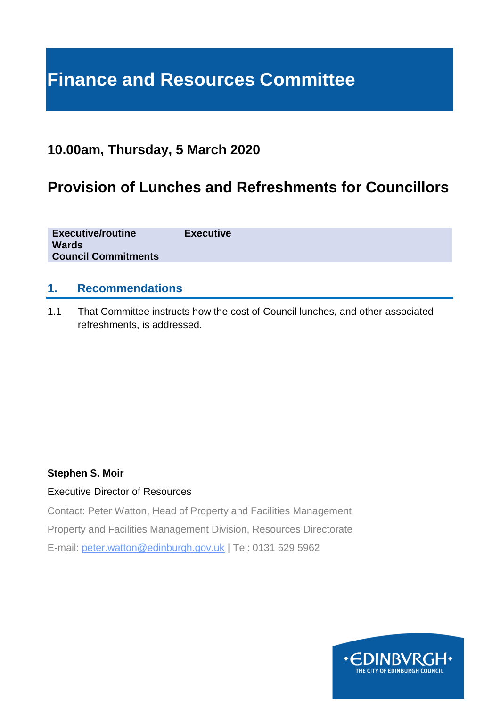# **Finance and Resources Committee**

# **10.00am, Thursday, 5 March 2020**

# **Provision of Lunches and Refreshments for Councillors**

**Executive/routine Executive Wards Council Commitments**

### **1. Recommendations**

1.1 That Committee instructs how the cost of Council lunches, and other associated refreshments, is addressed.

#### **Stephen S. Moir**

#### Executive Director of Resources

Contact: Peter Watton, Head of Property and Facilities Management Property and Facilities Management Division, Resources Directorate E-mail: peter.watton@edinburgh.gov.uk | Tel: 0131 529 5962

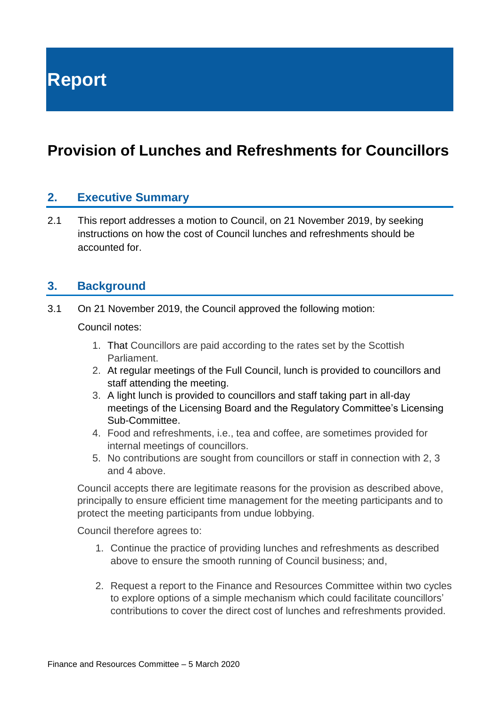**Report**

# **Provision of Lunches and Refreshments for Councillors**

#### **2. Executive Summary**

2.1 This report addresses a motion to Council, on 21 November 2019, by seeking instructions on how the cost of Council lunches and refreshments should be accounted for.

#### **3. Background**

3.1 On 21 November 2019, the Council approved the following motion:

Council notes:

- 1. That Councillors are paid according to the rates set by the Scottish Parliament.
- 2. At regular meetings of the Full Council, lunch is provided to councillors and staff attending the meeting.
- 3. A light lunch is provided to councillors and staff taking part in all-day meetings of the Licensing Board and the Regulatory Committee's Licensing Sub-Committee.
- 4. Food and refreshments, i.e., tea and coffee, are sometimes provided for internal meetings of councillors.
- 5. No contributions are sought from councillors or staff in connection with 2, 3 and 4 above.

Council accepts there are legitimate reasons for the provision as described above, principally to ensure efficient time management for the meeting participants and to protect the meeting participants from undue lobbying.

Council therefore agrees to:

- 1. Continue the practice of providing lunches and refreshments as described above to ensure the smooth running of Council business; and,
- 2. Request a report to the Finance and Resources Committee within two cycles to explore options of a simple mechanism which could facilitate councillors' contributions to cover the direct cost of lunches and refreshments provided.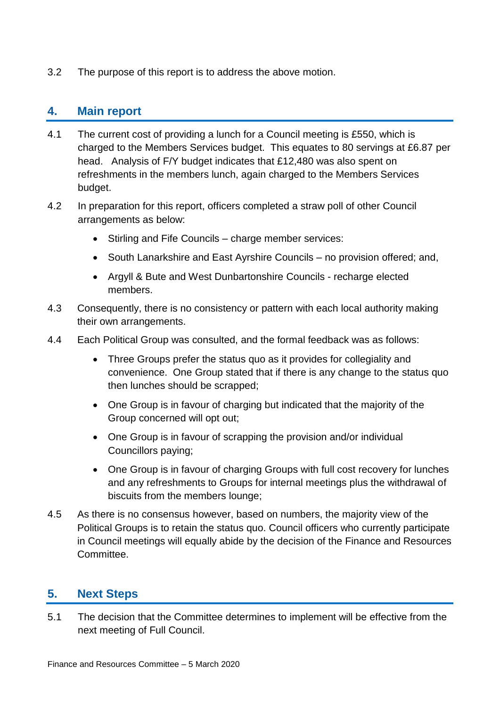3.2 The purpose of this report is to address the above motion.

### **4. Main report**

- 4.1 The current cost of providing a lunch for a Council meeting is £550, which is charged to the Members Services budget. This equates to 80 servings at £6.87 per head. Analysis of F/Y budget indicates that £12,480 was also spent on refreshments in the members lunch, again charged to the Members Services budget.
- 4.2 In preparation for this report, officers completed a straw poll of other Council arrangements as below:
	- Stirling and Fife Councils charge member services:
	- South Lanarkshire and East Ayrshire Councils no provision offered; and,
	- Argyll & Bute and West Dunbartonshire Councils recharge elected members.
- 4.3 Consequently, there is no consistency or pattern with each local authority making their own arrangements.
- 4.4 Each Political Group was consulted, and the formal feedback was as follows:
	- Three Groups prefer the status quo as it provides for collegiality and convenience. One Group stated that if there is any change to the status quo then lunches should be scrapped;
	- One Group is in favour of charging but indicated that the majority of the Group concerned will opt out;
	- One Group is in favour of scrapping the provision and/or individual Councillors paying;
	- One Group is in favour of charging Groups with full cost recovery for lunches and any refreshments to Groups for internal meetings plus the withdrawal of biscuits from the members lounge;
- 4.5 As there is no consensus however, based on numbers, the majority view of the Political Groups is to retain the status quo. Council officers who currently participate in Council meetings will equally abide by the decision of the Finance and Resources Committee.

# **5. Next Steps**

5.1 The decision that the Committee determines to implement will be effective from the next meeting of Full Council.